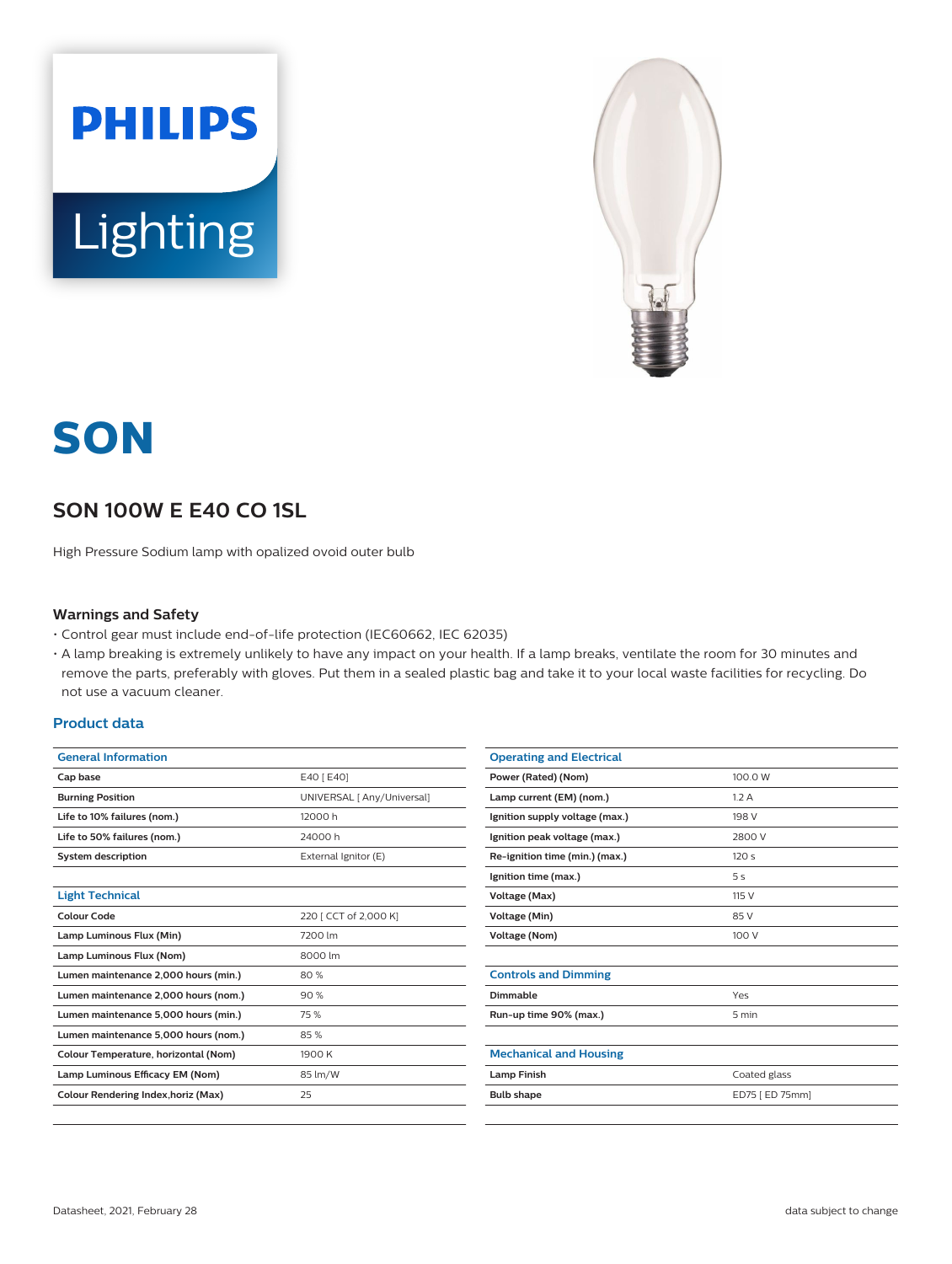



# **SON**

# **SON 100W E E40 CO 1SL**

High Pressure Sodium lamp with opalized ovoid outer bulb

#### **Warnings and Safety**

- Control gear must include end-of-life protection (IEC60662, IEC 62035)
- A lamp breaking is extremely unlikely to have any impact on your health. If a lamp breaks, ventilate the room for 30 minutes and remove the parts, preferably with gloves. Put them in a sealed plastic bag and take it to your local waste facilities for recycling. Do not use a vacuum cleaner.

#### **Product data**

| <b>General Information</b>           |                            |  |
|--------------------------------------|----------------------------|--|
| Cap base                             | E40 [ E40]                 |  |
| <b>Burning Position</b>              | UNIVERSAL [ Any/Universal] |  |
| Life to 10% failures (nom.)          | 12000 h                    |  |
| Life to 50% failures (nom.)          | 24000h                     |  |
| <b>System description</b>            | External Ignitor (E)       |  |
|                                      |                            |  |
| <b>Light Technical</b>               |                            |  |
| Colour Code                          | 220 [ CCT of 2,000 K]      |  |
| Lamp Luminous Flux (Min)             | 7200 lm                    |  |
| Lamp Luminous Flux (Nom)             | 8000 lm                    |  |
| Lumen maintenance 2,000 hours (min.) | 80%                        |  |
| Lumen maintenance 2,000 hours (nom.) | 90%                        |  |
| Lumen maintenance 5,000 hours (min.) | 75 %                       |  |
| Lumen maintenance 5,000 hours (nom.) | 85%                        |  |
| Colour Temperature, horizontal (Nom) | 1900 K                     |  |
| Lamp Luminous Efficacy EM (Nom)      | 85 lm/W                    |  |
| Colour Rendering Index, horiz (Max)  | 25                         |  |
|                                      |                            |  |

| <b>Operating and Electrical</b> |                 |
|---------------------------------|-----------------|
| Power (Rated) (Nom)             | 100.0 W         |
| Lamp current (EM) (nom.)        | 1.2A            |
| Ignition supply voltage (max.)  | 198 V           |
| Ignition peak voltage (max.)    | 2800 V          |
| Re-ignition time (min.) (max.)  | 120s            |
| Ignition time (max.)            | 5s              |
| Voltage (Max)                   | 115 V           |
| <b>Voltage (Min)</b>            | 85 V            |
| <b>Voltage (Nom)</b>            | 100 V           |
|                                 |                 |
| <b>Controls and Dimming</b>     |                 |
| Dimmable                        | Yes             |
| Run-up time 90% (max.)          | 5 min           |
|                                 |                 |
| <b>Mechanical and Housing</b>   |                 |
| <b>Lamp Finish</b>              | Coated glass    |
| <b>Bulb shape</b>               | ED75 [ ED 75mm] |
|                                 |                 |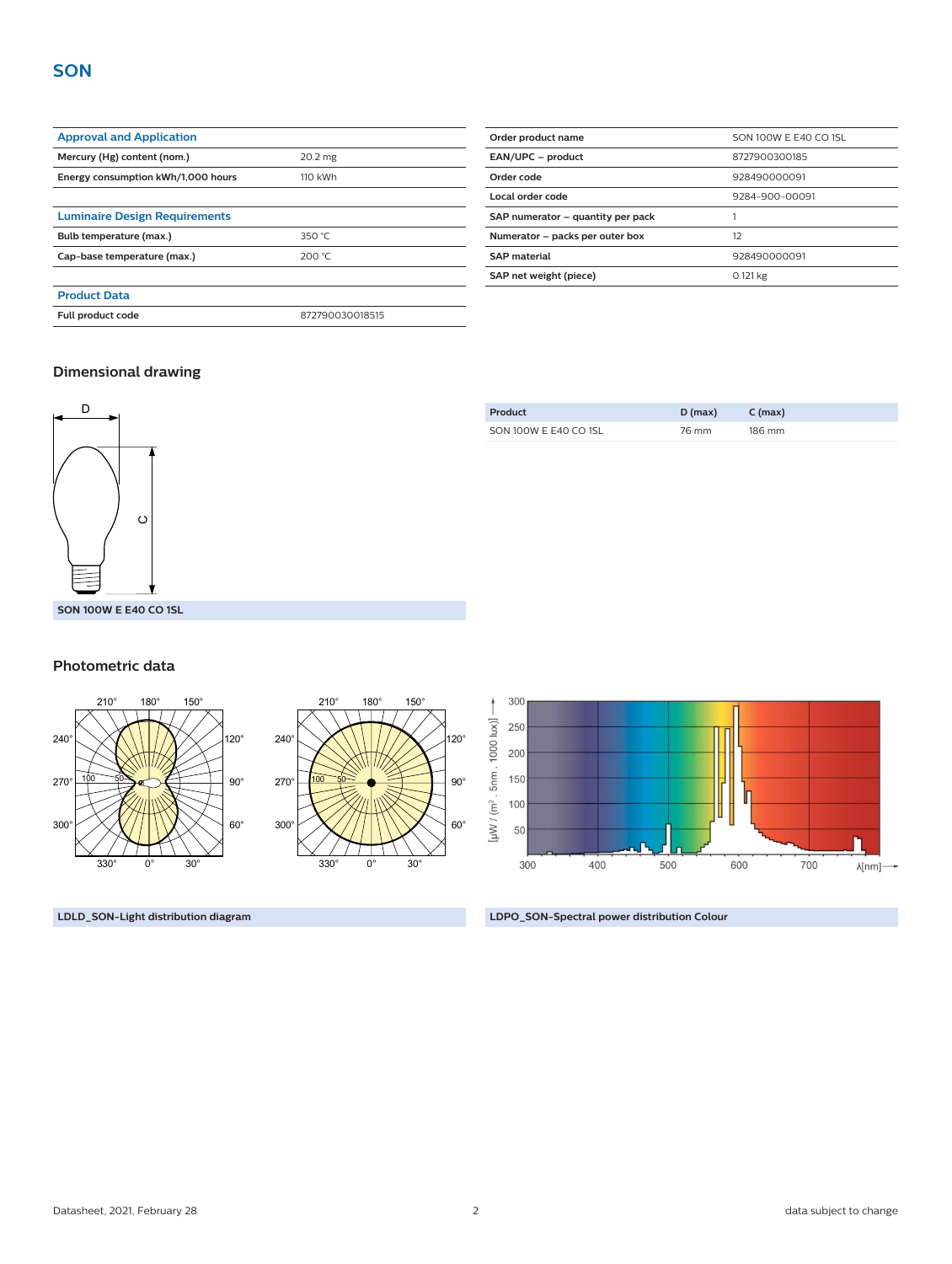| <b>Approval and Application</b>      |                 |  |
|--------------------------------------|-----------------|--|
| Mercury (Hg) content (nom.)          | 20.2 mg         |  |
| Energy consumption kWh/1,000 hours   | 110 kWh         |  |
|                                      |                 |  |
| <b>Luminaire Design Requirements</b> |                 |  |
| Bulb temperature (max.)              | 350 $°C$        |  |
| Cap-base temperature (max.)          | 200 °C          |  |
|                                      |                 |  |
| <b>Product Data</b>                  |                 |  |
| <b>Full product code</b>             | 872790030018515 |  |

| Order product name                | SON 100W E E40 CO 1SL |  |
|-----------------------------------|-----------------------|--|
| EAN/UPC - product                 | 8727900300185         |  |
| Order code                        | 928490000091          |  |
| Local order code                  | 9284-900-00091        |  |
| SAP numerator - quantity per pack |                       |  |
| Numerator - packs per outer box   | 12                    |  |
| <b>SAP</b> material               | 928490000091          |  |
| SAP net weight (piece)            | 0.121 kg              |  |

### **Dimensional drawing**



#### **Photometric data**



| Product               | $D$ (max) | $C$ (max) |
|-----------------------|-----------|-----------|
| SON 100W E E40 CO 1SL | 76 mm     | 186 mm    |